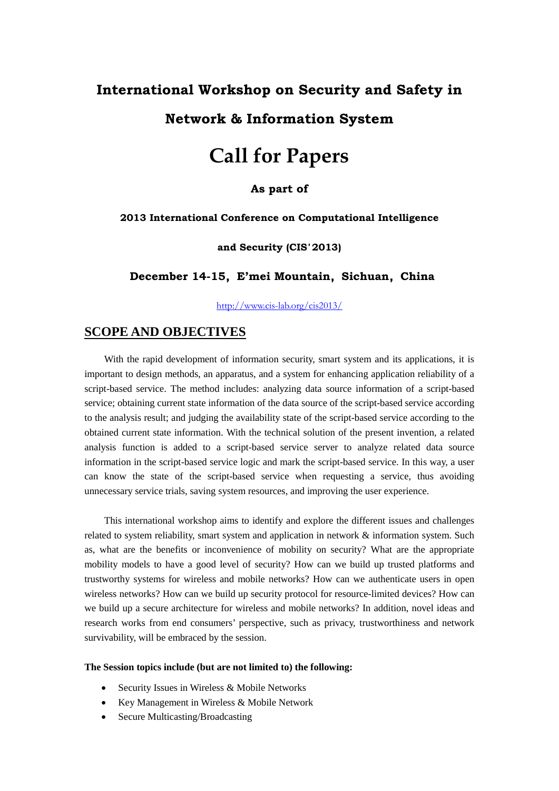# **International Workshop on Security and Safety in**

# **Network & Information System**

# **Call for Papers**

## **As part of**

#### **2013 International Conference on Computational Intelligence**

#### **and Security (CIS**'**2013)**

**December 14-15**,**E'mei Mountain**,**Sichuan**,**China**

<http://www.cis-lab.org/cis2013/>

## **SCOPE AND OBJECTIVES**

 With the rapid development of information security, smart system and its applications, it is important to design methods, an apparatus, and a system for enhancing application reliability of a script-based service. The method includes: analyzing data source information of a script-based service; obtaining current state information of the data source of the script-based service according to the analysis result; and judging the availability state of the script-based service according to the obtained current state information. With the technical solution of the present invention, a related analysis function is added to a script-based service server to analyze related data source information in the script-based service logic and mark the script-based service. In this way, a user can know the state of the script-based service when requesting a service, thus avoiding unnecessary service trials, saving system resources, and improving the user experience.

This international workshop aims to identify and explore the different issues and challenges related to system reliability, smart system and application in network & information system. Such as, what are the benefits or inconvenience of mobility on security? What are the appropriate mobility models to have a good level of security? How can we build up trusted platforms and trustworthy systems for wireless and mobile networks? How can we authenticate users in open wireless networks? How can we build up security protocol for resource-limited devices? How can we build up a secure architecture for wireless and mobile networks? In addition, novel ideas and research works from end consumers' perspective, such as privacy, trustworthiness and network survivability, will be embraced by the session.

#### **The Session topics include (but are not limited to) the following:**

- Security Issues in Wireless & Mobile Networks
- Key Management in Wireless & Mobile Network
- Secure Multicasting/Broadcasting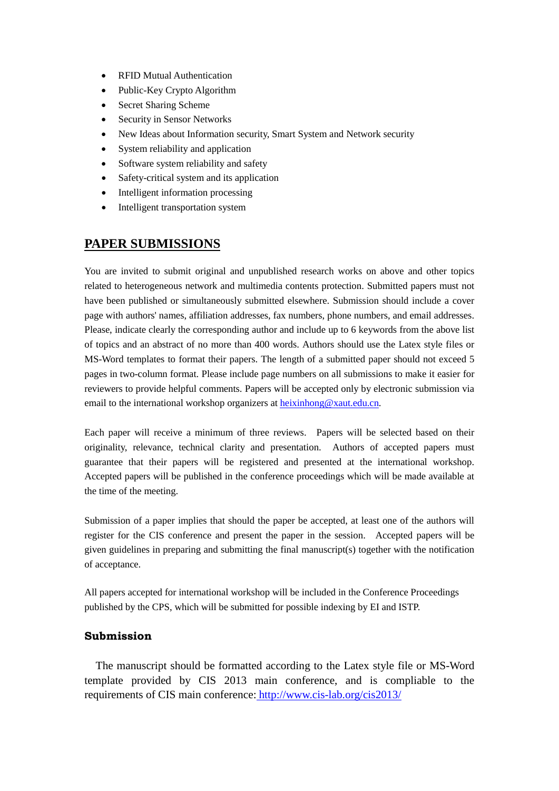- RFID Mutual Authentication
- Public-Key Crypto Algorithm
- Secret Sharing Scheme
- Security in Sensor Networks
- New Ideas about Information security, Smart System and Network security
- System reliability and application
- Software system reliability and safety
- Safety-critical system and its application
- Intelligent information processing
- Intelligent transportation system

# **PAPER SUBMISSIONS**

You are invited to submit original and unpublished research works on above and other topics related to heterogeneous network and multimedia contents protection. Submitted papers must not have been published or simultaneously submitted elsewhere. Submission should include a cover page with authors' names, affiliation addresses, fax numbers, phone numbers, and email addresses. Please, indicate clearly the corresponding author and include up to 6 keywords from the above list of topics and an abstract of no more than 400 words. Authors should use the Latex style files or MS-Word templates to format their papers. The length of a submitted paper should not exceed 5 pages in two-column format. Please include page numbers on all submissions to make it easier for reviewers to provide helpful comments. Papers will be accepted only by electronic submission via email to the international workshop organizers at [heixinhong@xaut.edu.cn.](mailto:heixinhong@xaut.edu.cn)

Each paper will receive a minimum of three reviews. Papers will be selected based on their originality, relevance, technical clarity and presentation. Authors of accepted papers must guarantee that their papers will be registered and presented at the international workshop. Accepted papers will be published in the conference proceedings which will be made available at the time of the meeting.

Submission of a paper implies that should the paper be accepted, at least one of the authors will register for the CIS conference and present the paper in the session. Accepted papers will be given guidelines in preparing and submitting the final manuscript(s) together with the notification of acceptance.

All papers accepted for international workshop will be included in the Conference Proceedings published by the CPS, which will be submitted for possible indexing by EI and ISTP.

## **Submission**

The manuscript should be formatted according to the [Latex style file](http://cis2009.bit.edu.cn/ieeeletter.doc) or [MS-Word](http://cis2009.bit.edu.cn/FORMAT.doc)  [template](http://cis2009.bit.edu.cn/FORMAT.doc) provided by CIS 2013 main conference, and is compliable to the requirements of CIS main conference: <http://www.cis-lab.org/cis2013/>